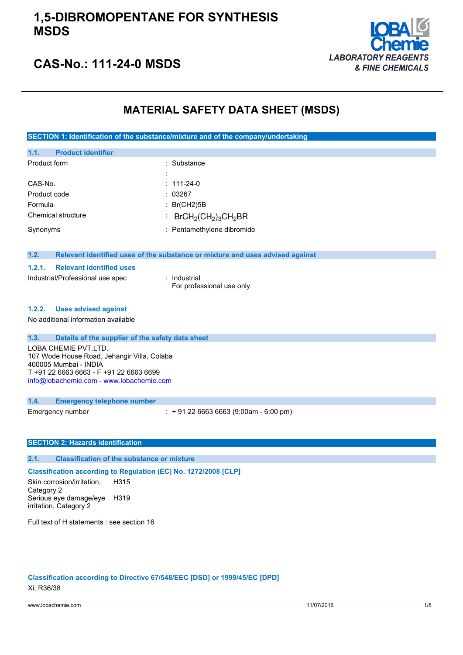

## **CAS-No.: 111-24-0 MSDS**

## **MATERIAL SAFETY DATA SHEET (MSDS)**

**SECTION 1: Identification of the substance/mixture and of the company/undertaking**

| 1.1.                             | <b>Product identifier</b>       |                                                                               |
|----------------------------------|---------------------------------|-------------------------------------------------------------------------------|
| Product form                     |                                 | : Substance                                                                   |
|                                  |                                 |                                                                               |
| CAS-No.                          |                                 | $: 111 - 24 - 0$                                                              |
| Product code                     |                                 | : 03267                                                                       |
| Formula                          |                                 | : $Br(CH2)5B$                                                                 |
| Chemical structure               |                                 | $BrCH_2(CH_2)_3CH_2BR$<br>÷                                                   |
| Synonyms                         |                                 | : Pentamethylene dibromide                                                    |
| 1.2.                             |                                 | Relevant identified uses of the substance or mixture and uses advised against |
| 1,2.1.                           | <b>Relevant identified uses</b> |                                                                               |
| Industrial/Professional use spec |                                 | : Industrial<br>For professional use only                                     |

#### **1.2.2. Uses advised against**

No additional information available

### **1.3. Details of the supplier of the safety data sheet**

LOBA CHEMIE PVT.LTD. 107 Wode House Road, Jehangir Villa, Colaba 400005 Mumbai - INDIA T +91 22 6663 6663 - F +91 22 6663 6699 [info@lobachemie.com](mailto:info@lobachemie.com) - <www.lobachemie.com>

#### **1.4. Emergency telephone number**

Emergency number : + 91 22 6663 6663 (9:00am - 6:00 pm)

### **SECTION 2: Hazards identification**

### **2.1. Classification of the substance or mixture**

**Classification according to Regulation (EC) No. 1272/2008 [CLP]**

Skin corrosion/irritation, Category 2 H315 Serious eye damage/eye H319 irritation, Category 2

Full text of H statements : see section 16

**Classification according to Directive 67/548/EEC [DSD] or 1999/45/EC [DPD]** Xi; R36/38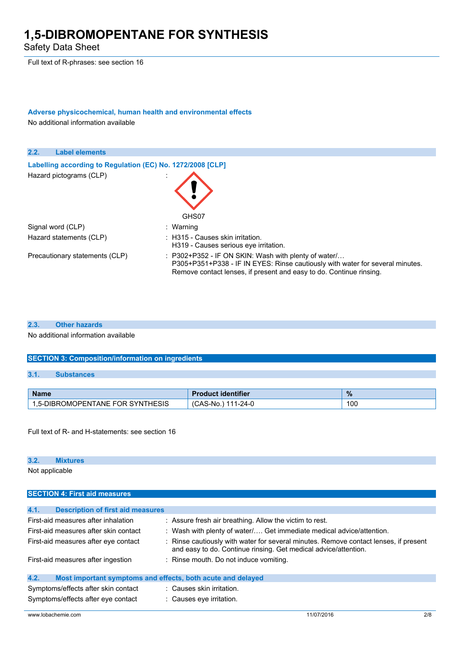Safety Data Sheet

Full text of R-phrases: see section 16

### **Adverse physicochemical, human health and environmental effects** No additional information available

**2.2. Label elements Labelling according** to Regulation (EC) No. 1272/2008 [CLP] Hazard pictograms (CLP) in the state of the state of the state of the state of the state of the state of the state of the state of the state of the state of the state of the state of the state of the state of the state of GHS07 Signal word (CLP) : Warning Hazard statements (CLP) : H315 - Causes skin irritation. H319 - Causes serious eye irritation. Precautionary statements (CLP) : P302+P352 - IF ON SKIN: Wash with plenty of water/... P305+P351+P338 - IF IN EYES: Rinse cautiously with water for several minutes. Remove contact lenses, if present and easy to do. Continue rinsing.

#### **2.3. Other hazards**

No additional information available

### **SECTION 3: Composition/information on ingredients**

### **3.1. Substances**

| <b>Name</b>                                | identifier<br>rauct          | $\frac{9}{6}$ |
|--------------------------------------------|------------------------------|---------------|
| -DIBROMOPENTANE FOR SYNTH<br>THESIS<br>ה-ה | $1 - 24 -$<br>`AS-No<br>טרוט | 100           |

Full text of R- and H-statements: see section 16

### **3.2. Mixtures**

**SECTION 4: First aid measures**

Not applicable

| <b>Description of first aid measures</b><br>4.1.                                                             |                                                                                                                                                         |  |  |
|--------------------------------------------------------------------------------------------------------------|---------------------------------------------------------------------------------------------------------------------------------------------------------|--|--|
| First-aid measures after inhalation<br>: Assure fresh air breathing. Allow the victim to rest.               |                                                                                                                                                         |  |  |
| : Wash with plenty of water Get immediate medical advice/attention.<br>First-aid measures after skin contact |                                                                                                                                                         |  |  |
| First-aid measures after eye contact                                                                         | : Rinse cautiously with water for several minutes. Remove contact lenses, if present<br>and easy to do. Continue rinsing. Get medical advice/attention. |  |  |
| First-aid measures after ingestion                                                                           | : Rinse mouth. Do not induce vomiting.                                                                                                                  |  |  |
| 4.2.<br>Most important symptoms and effects, both acute and delayed                                          |                                                                                                                                                         |  |  |
| Symptoms/effects after skin contact<br>: Causes skin irritation.                                             |                                                                                                                                                         |  |  |
| Symptoms/effects after eye contact<br>: Causes eye irritation.                                               |                                                                                                                                                         |  |  |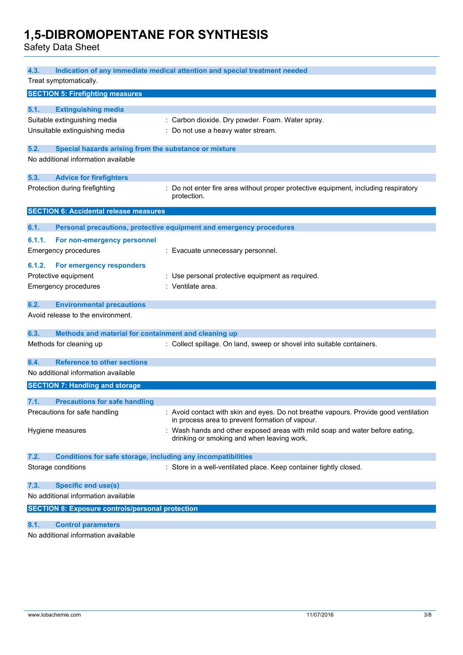Safety Data Sheet

| 4.3.<br>Indication of any immediate medical attention and special treatment needed |                                                                                      |  |  |
|------------------------------------------------------------------------------------|--------------------------------------------------------------------------------------|--|--|
| Treat symptomatically.                                                             |                                                                                      |  |  |
| <b>SECTION 5: Firefighting measures</b>                                            |                                                                                      |  |  |
| 5.1.<br><b>Extinguishing media</b>                                                 |                                                                                      |  |  |
| Suitable extinguishing media                                                       | : Carbon dioxide. Dry powder. Foam. Water spray.                                     |  |  |
| Unsuitable extinguishing media                                                     | : Do not use a heavy water stream.                                                   |  |  |
|                                                                                    |                                                                                      |  |  |
| 5.2.<br>Special hazards arising from the substance or mixture                      |                                                                                      |  |  |
| No additional information available                                                |                                                                                      |  |  |
| 5.3.<br><b>Advice for firefighters</b>                                             |                                                                                      |  |  |
| Protection during firefighting                                                     | : Do not enter fire area without proper protective equipment, including respiratory  |  |  |
|                                                                                    | protection.                                                                          |  |  |
| <b>SECTION 6: Accidental release measures</b>                                      |                                                                                      |  |  |
| 6.1.                                                                               | Personal precautions, protective equipment and emergency procedures                  |  |  |
| 6.1.1.<br>For non-emergency personnel                                              |                                                                                      |  |  |
| <b>Emergency procedures</b>                                                        | : Evacuate unnecessary personnel.                                                    |  |  |
|                                                                                    |                                                                                      |  |  |
| For emergency responders<br>6.1.2.                                                 |                                                                                      |  |  |
| Protective equipment                                                               | : Use personal protective equipment as required.<br>: Ventilate area.                |  |  |
| <b>Emergency procedures</b>                                                        |                                                                                      |  |  |
| 6.2.<br><b>Environmental precautions</b>                                           |                                                                                      |  |  |
| Avoid release to the environment.                                                  |                                                                                      |  |  |
| Methods and material for containment and cleaning up<br>6.3.                       |                                                                                      |  |  |
| Methods for cleaning up                                                            | : Collect spillage. On land, sweep or shovel into suitable containers.               |  |  |
|                                                                                    |                                                                                      |  |  |
| <b>Reference to other sections</b><br>6.4.                                         |                                                                                      |  |  |
| No additional information available                                                |                                                                                      |  |  |
| <b>SECTION 7: Handling and storage</b>                                             |                                                                                      |  |  |
| 7.1.<br><b>Precautions for safe handling</b>                                       |                                                                                      |  |  |
| Precautions for safe handling                                                      | : Avoid contact with skin and eyes. Do not breathe vapours. Provide good ventilation |  |  |
|                                                                                    | in process area to prevent formation of vapour.                                      |  |  |
| Hygiene measures                                                                   | : Wash hands and other exposed areas with mild soap and water before eating,         |  |  |
|                                                                                    | drinking or smoking and when leaving work.                                           |  |  |
| 7.2.<br>Conditions for safe storage, including any incompatibilities               |                                                                                      |  |  |
| Storage conditions                                                                 | : Store in a well-ventilated place. Keep container tightly closed.                   |  |  |
| 7.3.<br><b>Specific end use(s)</b>                                                 |                                                                                      |  |  |
| No additional information available                                                |                                                                                      |  |  |
| <b>SECTION 8: Exposure controls/personal protection</b>                            |                                                                                      |  |  |
| 8.1.<br><b>Control parameters</b>                                                  |                                                                                      |  |  |
|                                                                                    |                                                                                      |  |  |

No additional information available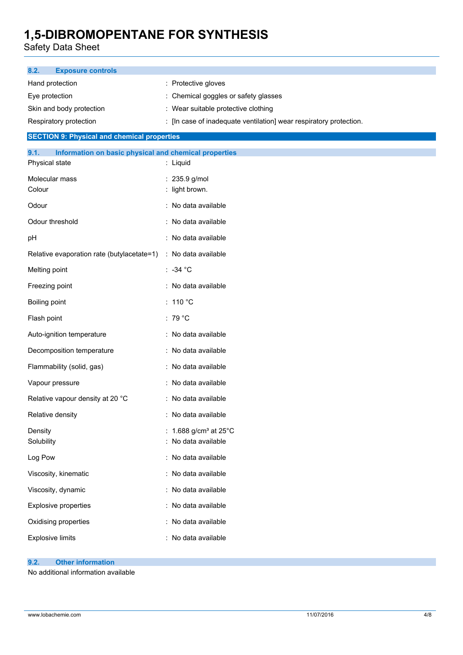Safety Data Sheet

| 8.2.<br><b>Exposure controls</b>                              |                                                                    |
|---------------------------------------------------------------|--------------------------------------------------------------------|
| Hand protection                                               | : Protective gloves                                                |
| Eye protection                                                | : Chemical goggles or safety glasses                               |
| Skin and body protection                                      | : Wear suitable protective clothing                                |
| Respiratory protection                                        | : [In case of inadequate ventilation] wear respiratory protection. |
| <b>SECTION 9: Physical and chemical properties</b>            |                                                                    |
| 9.1.<br>Information on basic physical and chemical properties |                                                                    |
| Physical state                                                | : Liquid                                                           |
| Molecular mass<br>Colour                                      | : 235.9 g/mol<br>: light brown.                                    |
|                                                               |                                                                    |
| Odour                                                         | : No data available                                                |
| Odour threshold                                               | : No data available                                                |
| pH                                                            | : No data available                                                |
| Relative evaporation rate (butylacetate=1)                    | : No data available                                                |
| Melting point                                                 | $: -34 °C$                                                         |
| Freezing point                                                | : No data available                                                |
| Boiling point                                                 | : 110 $^{\circ}$ C                                                 |
| Flash point                                                   | : 79 $^{\circ}$ C                                                  |
| Auto-ignition temperature                                     | : No data available                                                |
| Decomposition temperature                                     | : No data available                                                |
| Flammability (solid, gas)                                     | : No data available                                                |
| Vapour pressure                                               | : No data available                                                |
| Relative vapour density at 20 °C                              | : No data available                                                |
| Relative density                                              | : No data available                                                |
| Density<br>Solubility                                         | 1.688 g/cm <sup>3</sup> at $25^{\circ}$ C<br>: No data available   |
| Log Pow                                                       | : No data available                                                |
| Viscosity, kinematic                                          | : No data available                                                |
| Viscosity, dynamic                                            | : No data available                                                |
| <b>Explosive properties</b>                                   | : No data available                                                |
| Oxidising properties                                          | : No data available                                                |
| <b>Explosive limits</b>                                       | : No data available                                                |
|                                                               |                                                                    |

### **9.2. Other information**

No additional information available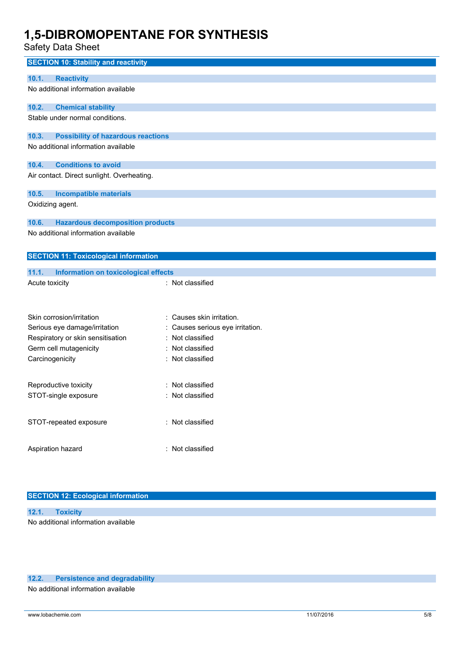Safety Data Sheet

| ouiviy Duiu Onooi                                  |                                |
|----------------------------------------------------|--------------------------------|
| <b>SECTION 10: Stability and reactivity</b>        |                                |
| 10.1.<br><b>Reactivity</b>                         |                                |
| No additional information available                |                                |
| 10.2.<br><b>Chemical stability</b>                 |                                |
| Stable under normal conditions.                    |                                |
|                                                    |                                |
| 10.3.<br><b>Possibility of hazardous reactions</b> |                                |
| No additional information available                |                                |
|                                                    |                                |
| <b>Conditions to avoid</b><br>10.4.                |                                |
| Air contact. Direct sunlight. Overheating.         |                                |
| 10.5.<br><b>Incompatible materials</b>             |                                |
| Oxidizing agent.                                   |                                |
| 10.6.<br><b>Hazardous decomposition products</b>   |                                |
| No additional information available                |                                |
|                                                    |                                |
| <b>SECTION 11: Toxicological information</b>       |                                |
| 11.1.<br>Information on toxicological effects      |                                |
| Acute toxicity                                     | : Not classified               |
|                                                    |                                |
|                                                    |                                |
| Skin corrosion/irritation                          | Causes skin irritation.        |
| Serious eye damage/irritation                      | Causes serious eye irritation. |
| Respiratory or skin sensitisation                  | Not classified<br>÷            |
| Germ cell mutagenicity                             | Not classified                 |
| Carcinogenicity<br>Not classified                  |                                |
|                                                    | Not classified                 |
| Reproductive toxicity                              |                                |
| STOT-single exposure                               | Not classified                 |
| STOT-repeated exposure                             | : Not classified               |
|                                                    |                                |
|                                                    |                                |
| Aspiration hazard                                  | : Not classified               |

### **SECTION 12: Ecological information**

| 12.1. Toxicity                      |  |
|-------------------------------------|--|
| No additional information available |  |

### **12.2. Persistence and degradability**

No additional information available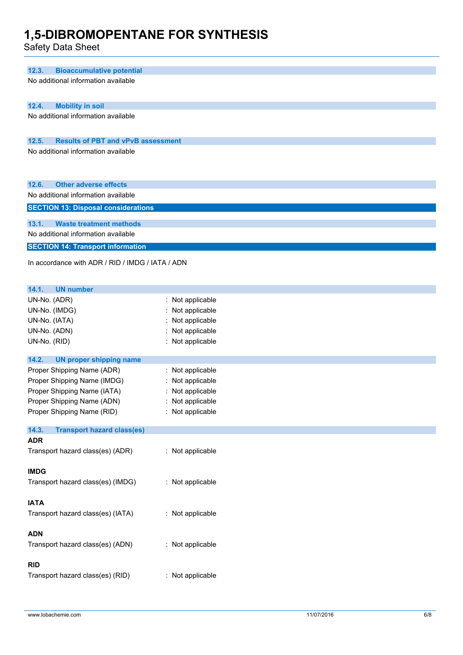Safety Data Sheet

| <b>Bioaccumulative potential</b><br>12.3.          |                  |  |
|----------------------------------------------------|------------------|--|
|                                                    |                  |  |
| No additional information available                |                  |  |
|                                                    |                  |  |
| 12.4.<br><b>Mobility in soil</b>                   |                  |  |
| No additional information available                |                  |  |
|                                                    |                  |  |
| 12.5.<br><b>Results of PBT and vPvB assessment</b> |                  |  |
| No additional information available                |                  |  |
|                                                    |                  |  |
|                                                    |                  |  |
| 12.6.<br><b>Other adverse effects</b>              |                  |  |
| No additional information available                |                  |  |
| <b>SECTION 13: Disposal considerations</b>         |                  |  |
|                                                    |                  |  |
| 13.1.<br><b>Waste treatment methods</b>            |                  |  |
| No additional information available                |                  |  |
| <b>SECTION 14: Transport information</b>           |                  |  |
| In accordance with ADR / RID / IMDG / IATA / ADN   |                  |  |
|                                                    |                  |  |
|                                                    |                  |  |
| 14.1.<br><b>UN number</b>                          |                  |  |
| UN-No. (ADR)                                       | : Not applicable |  |
| UN-No. (IMDG)                                      | : Not applicable |  |
| UN-No. (IATA)                                      | : Not applicable |  |
| UN-No. (ADN)                                       | : Not applicable |  |
| UN-No. (RID)                                       | : Not applicable |  |
|                                                    |                  |  |
| 14.2.<br><b>UN proper shipping name</b>            |                  |  |
| Proper Shipping Name (ADR)                         | : Not applicable |  |
| Proper Shipping Name (IMDG)                        | : Not applicable |  |
| Proper Shipping Name (IATA)                        | : Not applicable |  |
| Proper Shipping Name (ADN)                         | : Not applicable |  |
| Proper Shipping Name (RID)                         | : Not applicable |  |
| 14.3.<br><b>Transport hazard class(es)</b>         |                  |  |
| <b>ADR</b>                                         |                  |  |
| Transport hazard class(es) (ADR)                   | : Not applicable |  |
|                                                    |                  |  |
| <b>IMDG</b>                                        |                  |  |
| Transport hazard class(es) (IMDG)                  | : Not applicable |  |
|                                                    |                  |  |
| <b>IATA</b>                                        |                  |  |
| Transport hazard class(es) (IATA)                  | : Not applicable |  |
|                                                    |                  |  |
| <b>ADN</b>                                         |                  |  |
| Transport hazard class(es) (ADN)                   | : Not applicable |  |
|                                                    |                  |  |
| <b>RID</b>                                         |                  |  |
| Transport hazard class(es) (RID)                   | : Not applicable |  |
|                                                    |                  |  |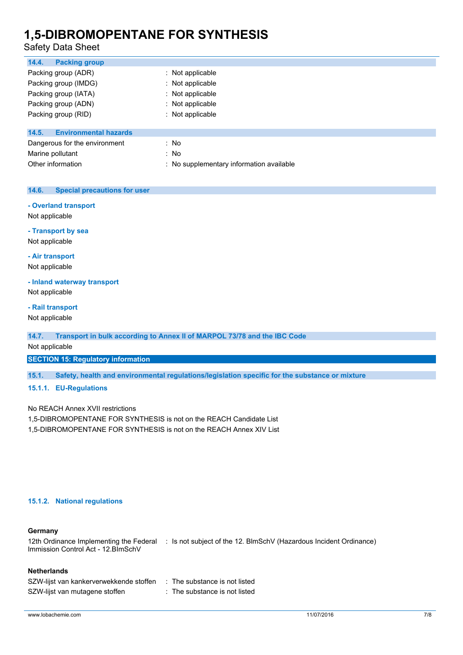### Safety Data Sheet

| 14.4.<br><b>Packing group</b>         |                                          |
|---------------------------------------|------------------------------------------|
| Packing group (ADR)                   | $\therefore$ Not applicable              |
| Packing group (IMDG)                  | : Not applicable                         |
| Packing group (IATA)                  | : Not applicable                         |
| Packing group (ADN)                   | : Not applicable                         |
| Packing group (RID)                   | : Not applicable                         |
| <b>Environmental hazards</b><br>14.5. |                                          |
| Dangerous for the environment         | : No                                     |
| Marine pollutant                      | : No                                     |
| Other information                     | : No supplementary information available |

### **14.6. Special precautions for user**

### **- Overland transport**

Not applicable

## **- Transport by sea**

Not applicable

### **- Air transport**

Not applicable

### **- Inland waterway transport**

Not applicable

### **- Rail transport**

Not applicable

### **14.7. Transport in bulk according to Annex II of MARPOL 73/78 and the IBC Code**

### Not applicable

**SECTION 15: Regulatory information**

### **15.1. Safety, health and environmental regulations/legislation specific for the substance or mixture**

### **15.1.1. EU-Regulations**

No REACH Annex XVII restrictions

1,5-DIBROMOPENTANE FOR SYNTHESIS is not on the REACH Candidate List

1,5-DIBROMOPENTANE FOR SYNTHESIS is not on the REACH Annex XIV List

### **15.1.2. National regulations**

### **Germany**

12th Ordinance Implementing the Federal : Is not subject of the 12. BlmSchV (Hazardous Incident Ordinance) Immission Control Act - 12.BImSchV

### **Netherlands**

| SZW-lijst van kankerverwekkende stoffen | : The substance is not listed |
|-----------------------------------------|-------------------------------|
| SZW-lijst van mutagene stoffen          | : The substance is not listed |